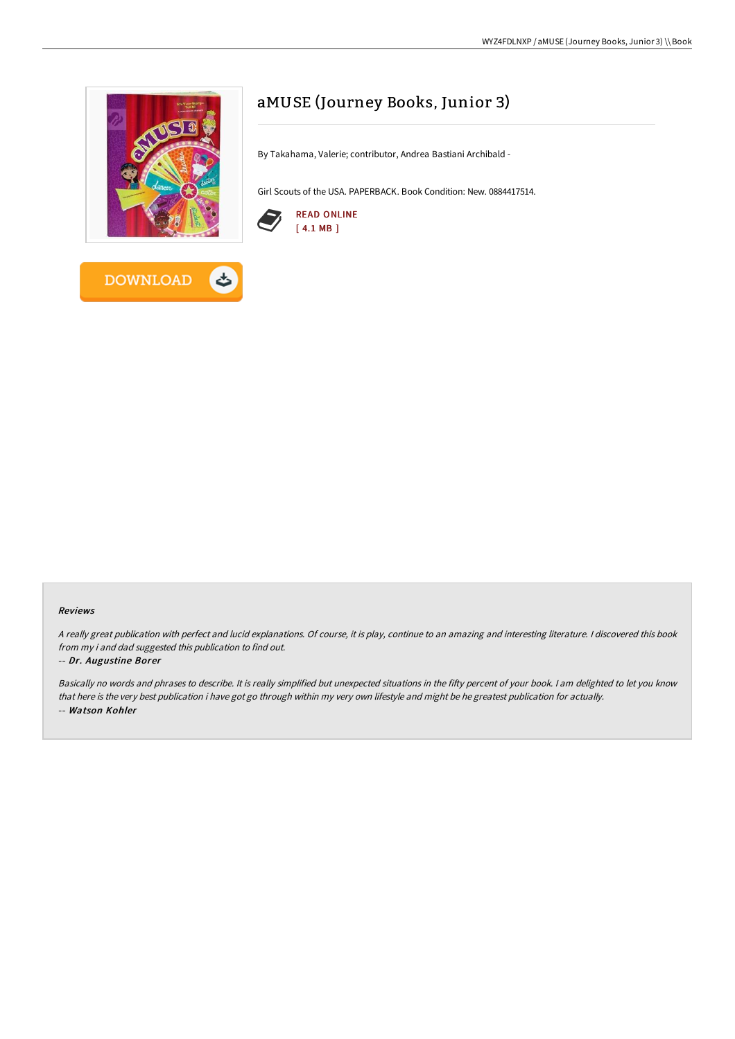



# aMUSE (Journey Books, Junior 3)

By Takahama, Valerie; contributor, Andrea Bastiani Archibald -

Girl Scouts of the USA. PAPERBACK. Book Condition: New. 0884417514.



## Reviews

<sup>A</sup> really great publication with perfect and lucid explanations. Of course, it is play, continue to an amazing and interesting literature. <sup>I</sup> discovered this book from my i and dad suggested this publication to find out.

## -- Dr. Augustine Borer

Basically no words and phrases to describe. It is really simplified but unexpected situations in the fifty percent of your book. I am delighted to let you know that here is the very best publication i have got go through within my very own lifestyle and might be he greatest publication for actually. -- Watson Kohler